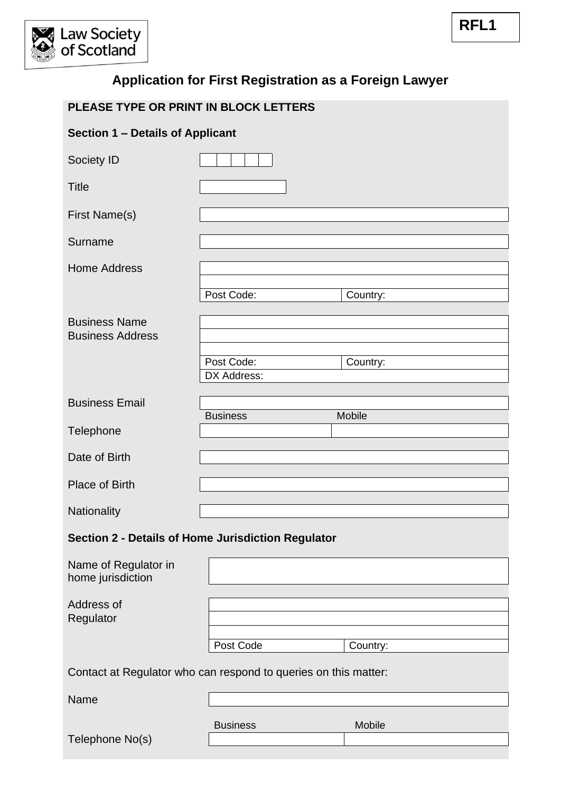

| PLEASE TYPE OR PRINT IN BLOCK LETTERS                           |                           |          |  |  |  |
|-----------------------------------------------------------------|---------------------------|----------|--|--|--|
| Section 1 - Details of Applicant                                |                           |          |  |  |  |
| Society ID                                                      |                           |          |  |  |  |
| <b>Title</b>                                                    |                           |          |  |  |  |
| First Name(s)                                                   |                           |          |  |  |  |
| Surname                                                         |                           |          |  |  |  |
| <b>Home Address</b>                                             |                           |          |  |  |  |
|                                                                 | Post Code:                | Country: |  |  |  |
| <b>Business Name</b><br><b>Business Address</b>                 |                           |          |  |  |  |
|                                                                 | Post Code:<br>DX Address: | Country: |  |  |  |
| <b>Business Email</b>                                           | <b>Business</b>           | Mobile   |  |  |  |
| Telephone                                                       |                           |          |  |  |  |
| Date of Birth                                                   |                           |          |  |  |  |
| Place of Birth                                                  |                           |          |  |  |  |
| Nationality                                                     |                           |          |  |  |  |
| Section 2 - Details of Home Jurisdiction Regulator              |                           |          |  |  |  |
| Name of Regulator in<br>home jurisdiction                       |                           |          |  |  |  |
| Address of                                                      |                           |          |  |  |  |
| Regulator                                                       |                           |          |  |  |  |
|                                                                 | Post Code                 | Country: |  |  |  |
| Contact at Regulator who can respond to queries on this matter: |                           |          |  |  |  |
| Name                                                            |                           |          |  |  |  |
| Telephone No(s)                                                 | <b>Business</b>           | Mobile   |  |  |  |
|                                                                 |                           |          |  |  |  |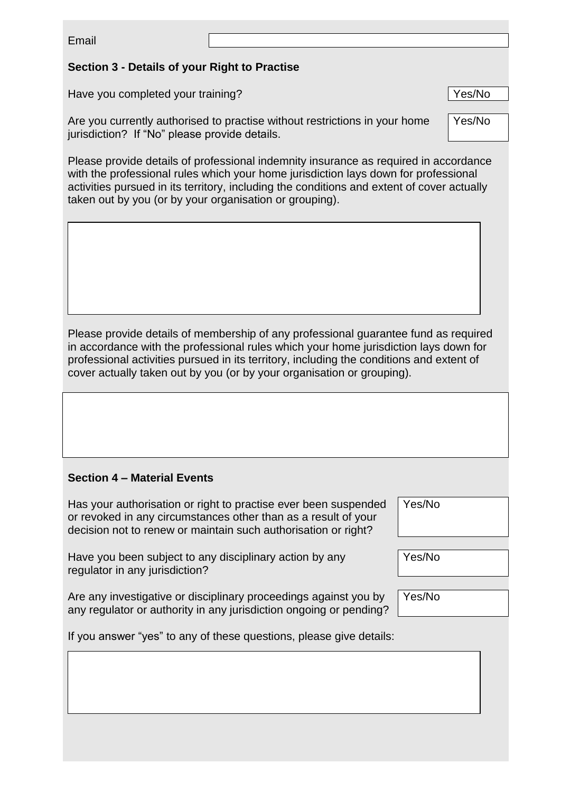Email

## **Section 3 - Details of your Right to Practise**

Have you completed your training? The state of the state of the Ves/No

Are you currently authorised to practise without restrictions in your home jurisdiction? If "No" please provide details.

Please provide details of professional indemnity insurance as required in accordance with the professional rules which your home jurisdiction lays down for professional activities pursued in its territory, including the conditions and extent of cover actually taken out by you (or by your organisation or grouping).

Please provide details of membership of any professional guarantee fund as required in accordance with the professional rules which your home jurisdiction lays down for professional activities pursued in its territory, including the conditions and extent of cover actually taken out by you (or by your organisation or grouping).

### **Section 4 – Material Events**

Has your authorisation or right to practise ever been suspended or revoked in any circumstances other than as a result of your decision not to renew or maintain such authorisation or right?

Have you been subject to any disciplinary action by any regulator in any jurisdiction?

Are any investigative or disciplinary proceedings against you by any regulator or authority in any jurisdiction ongoing or pending? Yes/No

Yes/No

Yes/No

If you answer "yes" to any of these questions, please give details:

Yes/No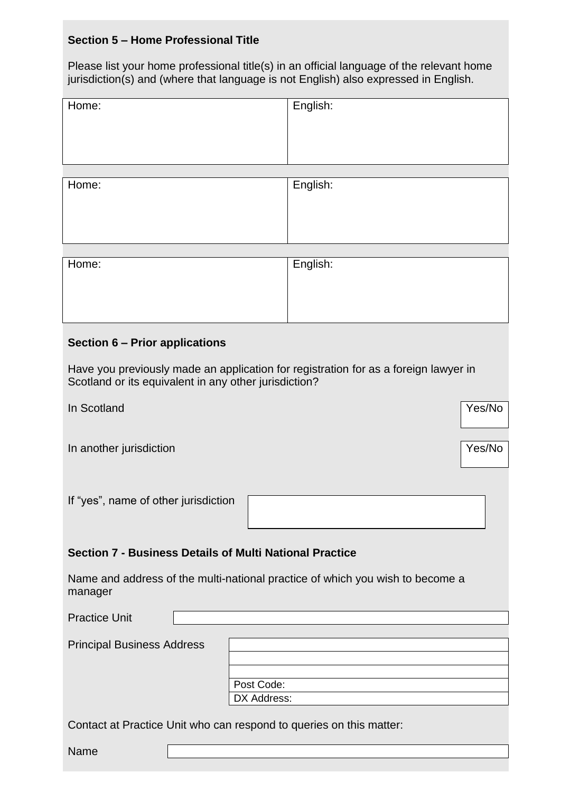# **Section 5 – Home Professional Title**

Please list your home professional title(s) in an official language of the relevant home jurisdiction(s) and (where that language is not English) also expressed in English.

| Home:                                                                                                                                        | English: |  |  |  |
|----------------------------------------------------------------------------------------------------------------------------------------------|----------|--|--|--|
| Home:                                                                                                                                        | English: |  |  |  |
| Home:                                                                                                                                        | English: |  |  |  |
| Section 6 - Prior applications                                                                                                               |          |  |  |  |
| Have you previously made an application for registration for as a foreign lawyer in<br>Scotland or its equivalent in any other jurisdiction? |          |  |  |  |
| In Scotland                                                                                                                                  | Yes/No   |  |  |  |
| In another jurisdiction                                                                                                                      | Yes/No   |  |  |  |
| If "yes", name of other jurisdiction                                                                                                         |          |  |  |  |
| <b>Section 7 - Business Details of Multi National Practice</b>                                                                               |          |  |  |  |
| Name and address of the multi-national practice of which you wish to become a<br>manager                                                     |          |  |  |  |
| <b>Practice Unit</b>                                                                                                                         |          |  |  |  |
| <b>Principal Business Address</b><br>Post Code:<br>DX Address:                                                                               |          |  |  |  |
| Contact at Practice Unit who can respond to queries on this matter:                                                                          |          |  |  |  |
| Name                                                                                                                                         |          |  |  |  |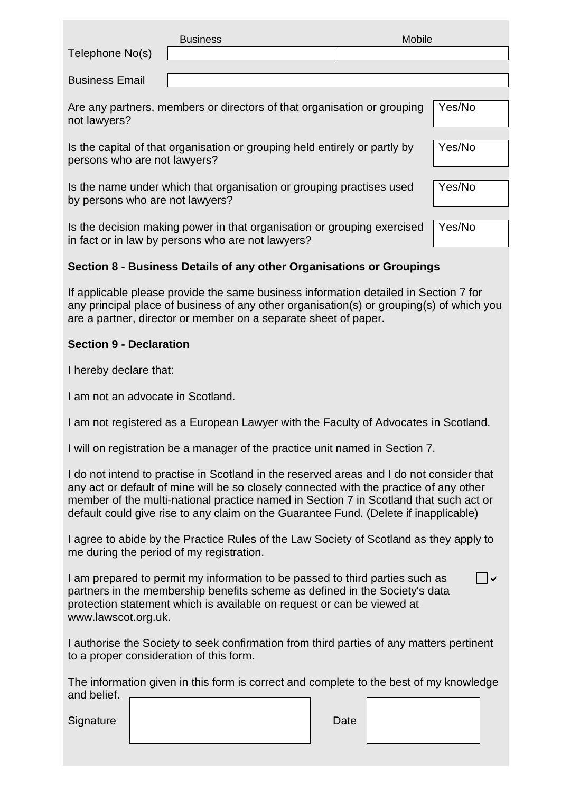| Telephone No(s)                                                                                            | <b>Business</b>                                                      | Mobile |        |
|------------------------------------------------------------------------------------------------------------|----------------------------------------------------------------------|--------|--------|
| <b>Business Email</b>                                                                                      |                                                                      |        |        |
| Are any partners, members or directors of that organisation or grouping<br>not lawyers?                    |                                                                      | Yes/No |        |
| Is the capital of that organisation or grouping held entirely or partly by<br>persons who are not lawyers? |                                                                      | Yes/No |        |
|                                                                                                            | Is the name under which that organisation or grouping practises used |        | Yes/No |

Is the decision making power in that organisation or grouping exercised in fact or in law by persons who are not lawyers? Yes/No

### **Section 8 - Business Details of any other Organisations or Groupings**

If applicable please provide the same business information detailed in Section 7 for any principal place of business of any other organisation(s) or grouping(s) of which you are a partner, director or member on a separate sheet of paper.

#### **Section 9 - Declaration**

I hereby declare that:

I am not an advocate in Scotland.

by persons who are not lawyers?

I am not registered as a European Lawyer with the Faculty of Advocates in Scotland.

I will on registration be a manager of the practice unit named in Section 7.

I do not intend to practise in Scotland in the reserved areas and I do not consider that any act or default of mine will be so closely connected with the practice of any other member of the multi-national practice named in Section 7 in Scotland that such act or default could give rise to any claim on the Guarantee Fund. (Delete if inapplicable)

I agree to abide by the Practice Rules of the Law Society of Scotland as they apply to me during the period of my registration.

I am prepared to permit my information to be passed to third parties such as partners in the membership benefits scheme as defined in the Society's data protection statement which is available on request or can be viewed at www.lawscot.org.uk.  $\overline{\phantom{a}}$ 

I authorise the Society to seek confirmation from third parties of any matters pertinent to a proper consideration of this form.

The information given in this form is correct and complete to the best of my knowledge and belief.

Signature | Date